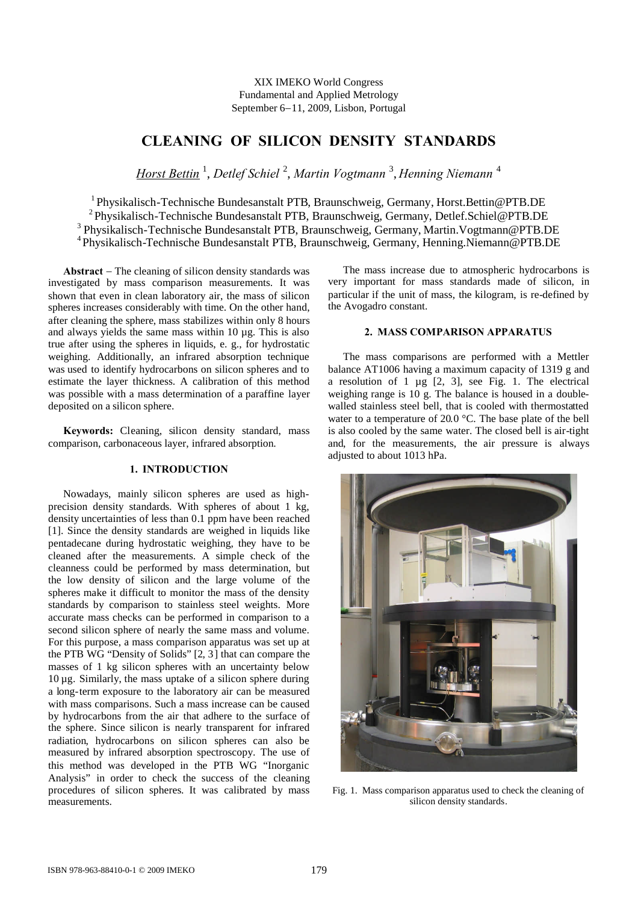XIX IMEKO World Congress Fundamental and Applied Metrology September 6-11, 2009, Lisbon, Portugal

# **CLEANING OF SILICON DENSITY STANDARDS**

*Horst Bettin* <sup>1</sup> , *Detlef Schiel* <sup>2</sup> , *Martin Vogtmann* <sup>3</sup> , *Henning Niemann* <sup>4</sup>

<sup>1</sup> Physikalisch-Technische Bundesanstalt PTB, Braunschweig, Germany, Horst.Bettin@PTB.DE

<sup>2</sup> Physikalisch-Technische Bundesanstalt PTB, Braunschweig, Germany, Detlef.Schiel@PTB.DE

<sup>3</sup> Physikalisch-Technische Bundesanstalt PTB, Braunschweig, Germany, Martin. Vogtmann@PTB.DE

4 Physikalisch-Technische Bundesanstalt PTB, Braunschweig, Germany, Henning.Niemann@PTB.DE

**Abstract** – The cleaning of silicon density standards was investigated by mass comparison measurements. It was shown that even in clean laboratory air, the mass of silicon spheres increases considerably with time. On the other hand, after cleaning the sphere, mass stabilizes within only 8 hours and always yields the same mass within 10 µg. This is also true after using the spheres in liquids, e. g., for hydrostatic weighing. Additionally, an infrared absorption technique was used to identify hydrocarbons on silicon spheres and to estimate the layer thickness. A calibration of this method was possible with a mass determination of a paraffine layer deposited on a silicon sphere.

**Keywords:** Cleaning, silicon density standard, mass comparison, carbonaceous layer, infrared absorption.

## **1. INTRODUCTION**

Nowadays, mainly silicon spheres are used as highprecision density standards. With spheres of about 1 kg, density uncertainties of less than 0.1 ppm have been reached [1]. Since the density standards are weighed in liquids like pentadecane during hydrostatic weighing, they have to be cleaned after the measurements. A simple check of the cleanness could be performed by mass determination, but the low density of silicon and the large volume of the spheres make it difficult to monitor the mass of the density standards by comparison to stainless steel weights. More accurate mass checks can be performed in comparison to a second silicon sphere of nearly the same mass and volume. For this purpose, a mass comparison apparatus was set up at the PTB WG "Density of Solids" [2, 3] that can compare the masses of 1 kg silicon spheres with an uncertainty below  $10 \mu$ g. Similarly, the mass uptake of a silicon sphere during a long-term exposure to the laboratory air can be measured with mass comparisons. Such a mass increase can be caused by hydrocarbons from the air that adhere to the surface of the sphere. Since silicon is nearly transparent for infrared radiation, hydrocarbons on silicon spheres can also be measured by infrared absorption spectroscopy. The use of this method was developed in the PTB WG "Inorganic Analysis" in order to check the success of the cleaning procedures of silicon spheres. It was calibrated by mass measurements.

The mass increase due to atmospheric hydrocarbons is very important for mass standards made of silicon, in particular if the unit of mass, the kilogram, is re-defined by the Avogadro constant.

# **2. MASS COMPARISON APPARATUS**

The mass comparisons are performed with a Mettler balance AT1006 having a maximum capacity of 1319 g and a resolution of 1  $\mu$ g [2, 3], see Fig. 1. The electrical weighing range is 10 g. The balance is housed in a doublewalled stainless steel bell, that is cooled with thermostatted water to a temperature of 20.0 °C. The base plate of the bell is also cooled by the same water. The closed bell is air-tight and, for the measurements, the air pressure is always adjusted to about 1013 hPa.



Fig. 1. Mass comparison apparatus used to check the cleaning of silicon density standards.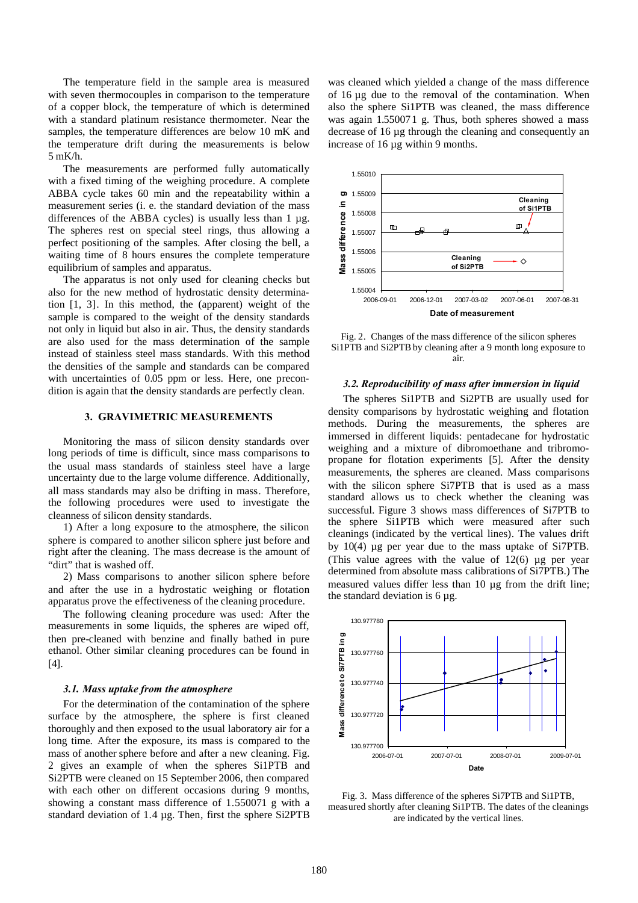The temperature field in the sample area is measured with seven thermocouples in comparison to the temperature of a copper block, the temperature of which is determined with a standard platinum resistance thermometer. Near the samples, the temperature differences are below 10 mK and the temperature drift during the measurements is below 5 mK/h.

The measurements are performed fully automatically with a fixed timing of the weighing procedure. A complete ABBA cycle takes 60 min and the repeatability within a measurement series (i. e. the standard deviation of the mass differences of the ABBA cycles) is usually less than  $1 \mu$ g. The spheres rest on special steel rings, thus allowing a perfect positioning of the samples. After closing the bell, a waiting time of 8 hours ensures the complete temperature equilibrium of samples and apparatus.

The apparatus is not only used for cleaning checks but also for the new method of hydrostatic density determination [1, 3]. In this method, the (apparent) weight of the sample is compared to the weight of the density standards not only in liquid but also in air. Thus, the density standards are also used for the mass determination of the sample instead of stainless steel mass standards. With this method the densities of the sample and standards can be compared with uncertainties of 0.05 ppm or less. Here, one precondition is again that the density standards are perfectly clean.

## **3. GRAVIMETRIC MEASUREMENTS**

Monitoring the mass of silicon density standards over long periods of time is difficult, since mass comparisons to the usual mass standards of stainless steel have a large uncertainty due to the large volume difference. Additionally, all mass standards may also be drifting in mass. Therefore, the following procedures were used to investigate the cleanness of silicon density standards.

1) After a long exposure to the atmosphere, the silicon sphere is compared to another silicon sphere just before and right after the cleaning. The mass decrease is the amount of "dirt" that is washed off.

2) Mass comparisons to another silicon sphere before and after the use in a hydrostatic weighing or flotation apparatus prove the effectiveness of the cleaning procedure.

The following cleaning procedure was used: After the measurements in some liquids, the spheres are wiped off, then pre-cleaned with benzine and finally bathed in pure ethanol. Other similar cleaning procedures can be found in [4].

#### *3.1. Mass uptake from the atmosphere*

For the determination of the contamination of the sphere surface by the atmosphere, the sphere is first cleaned thoroughly and then exposed to the usual laboratory air for a long time. After the exposure, its mass is compared to the mass of another sphere before and after a new cleaning. Fig. 2 gives an example of when the spheres Si1PTB and Si2PTB were cleaned on 15 September 2006, then compared with each other on different occasions during 9 months, showing a constant mass difference of 1.550071 g with a standard deviation of 1.4 µg. Then, first the sphere Si2PTB was cleaned which yielded a change of the mass difference of 16 µg due to the removal of the contamination. When also the sphere Si1PTB was cleaned, the mass difference was again 1.550071 g. Thus, both spheres showed a mass decrease of 16 µg through the cleaning and consequently an increase of 16 µg within 9 months.



Fig. 2. Changes of the mass difference of the silicon spheres Si1PTB and Si2PTB by cleaning after a 9 month long exposure to air.

### *3.2. Reproducibility of mass after immersion in liquid*

The spheres Si1PTB and Si2PTB are usually used for density comparisons by hydrostatic weighing and flotation methods. During the measurements, the spheres are immersed in different liquids: pentadecane for hydrostatic weighing and a mixture of dibromoethane and tribromopropane for flotation experiments [5]. After the density measurements, the spheres are cleaned. Mass comparisons with the silicon sphere Si7PTB that is used as a mass standard allows us to check whether the cleaning was successful. Figure 3 shows mass differences of Si7PTB to the sphere Si1PTB which were measured after such cleanings (indicated by the vertical lines). The values drift by 10(4) µg per year due to the mass uptake of Si7PTB. (This value agrees with the value of  $12(6)$  µg per year determined from absolute mass calibrations of Si7PTB.) The measured values differ less than 10 µg from the drift line; the standard deviation is 6 µg.



Fig. 3. Mass difference of the spheres Si7PTB and Si1PTB, measured shortly after cleaning Si1PTB. The dates of the cleanings are indicated by the vertical lines.